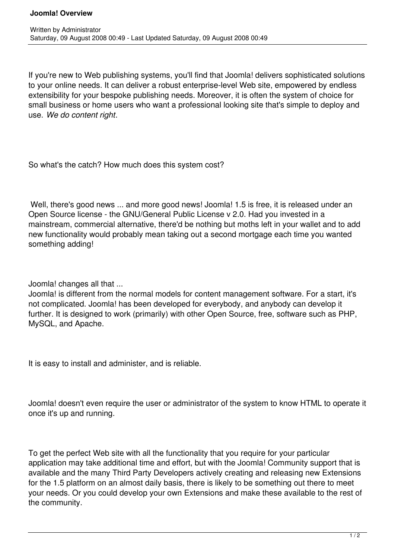If you're new to Web publishing systems, you'll find that Joomla! delivers sophisticated solutions to your online needs. It can deliver a robust enterprise-level Web site, empowered by endless extensibility for your bespoke publishing needs. Moreover, it is often the system of choice for small business or home users who want a professional looking site that's simple to deploy and use. *We do content right*.

So what's the catch? How much does this system cost?

Well, there's good news ... and more good news! Joomla! 1.5 is free, it is released under an Open Source license - the GNU/General Public License v 2.0. Had you invested in a mainstream, commercial alternative, there'd be nothing but moths left in your wallet and to add new functionality would probably mean taking out a second mortgage each time you wanted something adding!

Joomla! changes all that ...

Joomla! is different from the normal models for content management software. For a start, it's not complicated. Joomla! has been developed for everybody, and anybody can develop it further. It is designed to work (primarily) with other Open Source, free, software such as PHP, MySQL, and Apache.

It is easy to install and administer, and is reliable.

Joomla! doesn't even require the user or administrator of the system to know HTML to operate it once it's up and running.

To get the perfect Web site with all the functionality that you require for your particular application may take additional time and effort, but with the Joomla! Community support that is available and the many Third Party Developers actively creating and releasing new Extensions for the 1.5 platform on an almost daily basis, there is likely to be something out there to meet your needs. Or you could develop your own Extensions and make these available to the rest of the community.